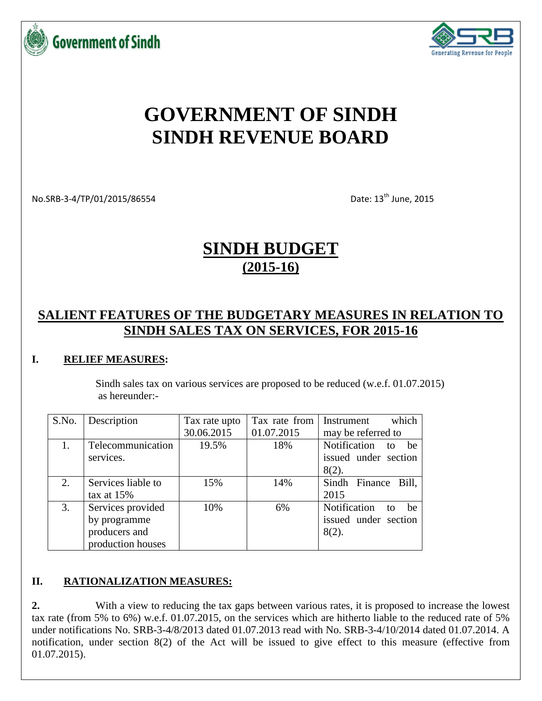



# **GOVERNMENT OF SINDH SINDH REVENUE BOARD**

No.SRB-3-4/TP/01/2015/86554 Date: 13<sup>th</sup> June, 2015

# **SINDH BUDGET (2015-16)**

## **SALIENT FEATURES OF THE BUDGETARY MEASURES IN RELATION TO SINDH SALES TAX ON SERVICES, FOR 2015-16**

#### **I. RELIEF MEASURES:**

Sindh sales tax on various services are proposed to be reduced (w.e.f. 01.07.2015) as hereunder:-

| S.No. | Description        | Tax rate upto | Tax rate from | which<br>Instrument      |
|-------|--------------------|---------------|---------------|--------------------------|
|       |                    | 30.06.2015    | 01.07.2015    | may be referred to       |
|       | Telecommunication  | 19.5%         | 18%           | Notification<br>be<br>to |
|       | services.          |               |               | issued under section     |
|       |                    |               |               | $8(2)$ .                 |
| 2.    | Services liable to | 15%           | 14%           | Sindh Finance Bill,      |
|       | tax at $15%$       |               |               | 2015                     |
| 3.    | Services provided  | 10%           | 6%            | Notification<br>he<br>to |
|       | by programme       |               |               | issued under section     |
|       | producers and      |               |               | $8(2)$ .                 |
|       | production houses  |               |               |                          |

#### **II. RATIONALIZATION MEASURES:**

**2.** With a view to reducing the tax gaps between various rates, it is proposed to increase the lowest tax rate (from 5% to 6%) w.e.f. 01.07.2015, on the services which are hitherto liable to the reduced rate of 5% under notifications No. SRB-3-4/8/2013 dated 01.07.2013 read with No. SRB-3-4/10/2014 dated 01.07.2014. A notification, under section 8(2) of the Act will be issued to give effect to this measure (effective from 01.07.2015).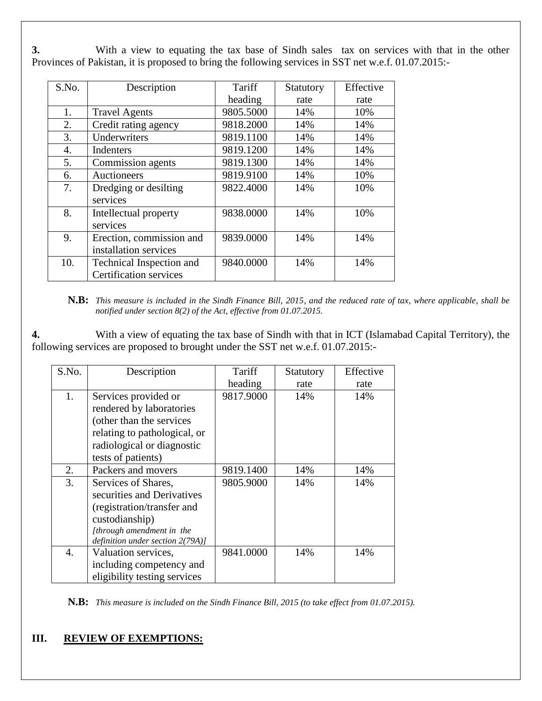**3.** With a view to equating the tax base of Sindh sales tax on services with that in the other Provinces of Pakistan, it is proposed to bring the following services in SST net w.e.f. 01.07.2015:-

| S.No. | Description                   | Tariff    | Statutory | Effective |
|-------|-------------------------------|-----------|-----------|-----------|
|       |                               | heading   | rate      | rate      |
| 1.    | <b>Travel Agents</b>          | 9805.5000 | 14%       | 10%       |
| 2.    | Credit rating agency          | 9818.2000 | 14%       | 14%       |
| 3.    | Underwriters                  | 9819.1100 | 14%       | 14%       |
| 4.    | Indenters                     | 9819.1200 | 14%       | 14%       |
| 5.    | Commission agents             | 9819.1300 | 14%       | 14%       |
| 6.    | Auctioneers                   | 9819.9100 | 14%       | 10%       |
| 7.    | Dredging or desilting         | 9822.4000 | 14%       | 10%       |
|       | services                      |           |           |           |
| 8.    | Intellectual property         | 9838.0000 | 14%       | 10%       |
|       | services                      |           |           |           |
| 9.    | Erection, commission and      | 9839.0000 | 14%       | 14%       |
|       | installation services         |           |           |           |
| 10.   | Technical Inspection and      | 9840.0000 | 14%       | 14%       |
|       | <b>Certification services</b> |           |           |           |

**N.B:** *This measure is included in the Sindh Finance Bill, 2015, and the reduced rate of tax, where applicable, shall be notified under section 8(2) of the Act, effective from 01.07.2015.*

**4.** With a view of equating the tax base of Sindh with that in ICT (Islamabad Capital Territory), the following services are proposed to brought under the SST net w.e.f. 01.07.2015:-

| S.No. | Description                                                                                                                                                        | Tariff    | Statutory | Effective |
|-------|--------------------------------------------------------------------------------------------------------------------------------------------------------------------|-----------|-----------|-----------|
|       |                                                                                                                                                                    | heading   | rate      | rate      |
| 1.    | Services provided or<br>rendered by laboratories<br>(other than the services<br>relating to pathological, or<br>radiological or diagnostic<br>tests of patients)   | 9817.9000 | 14%       | 14%       |
| 2.    | Packers and movers                                                                                                                                                 | 9819.1400 | 14%       | 14%       |
| 3.    | Services of Shares,<br>securities and Derivatives<br>(registration/transfer and<br>custodianship)<br>[through amendment in the<br>definition under section 2(79A)] | 9805.9000 | 14%       | 14%       |
| 4.    | Valuation services,<br>including competency and<br>eligibility testing services                                                                                    | 9841.0000 | 14%       | 14%       |

**N.B:** *This measure is included on the Sindh Finance Bill, 2015 (to take effect from 01.07.2015).*

#### **III. REVIEW OF EXEMPTIONS:**